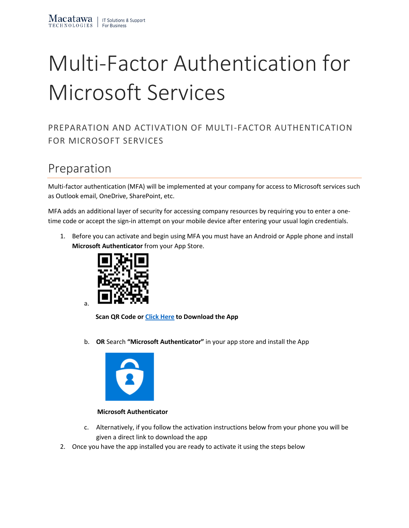# Multi-Factor Authentication for Microsoft Services

#### PREPARATION AND ACTIVATION OF MULTI-FACTOR AUTHENTICATION FOR MICROSOFT SERVICES

## Preparation

Multi-factor authentication (MFA) will be implemented at your company for access to Microsoft services such as Outlook email, OneDrive, SharePoint, etc.

MFA adds an additional layer of security for accessing company resources by requiring you to enter a onetime code or accept the sign-in attempt on your mobile device after entering your usual login credentials.

1. Before you can activate and begin using MFA you must have an Android or Apple phone and install **Microsoft Authenticator** from your App Store.



 **Scan QR Code o[r Click Here](http://onelink.to/9tmsre) to Download the App**

b. **OR** Search **"Microsoft Authenticator"** in your app store and install the App



 **Microsoft Authenticator**

- c. Alternatively, if you follow the activation instructions below from your phone you will be given a direct link to download the app
- 2. Once you have the app installed you are ready to activate it using the steps below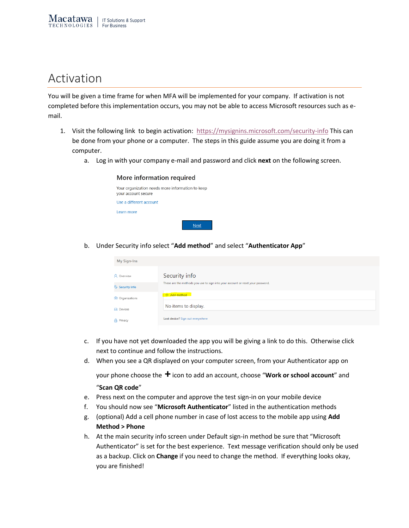### Activation

You will be given a time frame for when MFA will be implemented for your company. If activation is not completed before this implementation occurs, you may not be able to access Microsoft resources such as email.

- 1. Visit the following link to begin activation: <https://mysignins.microsoft.com/security-info> This can be done from your phone or a computer. The steps in this guide assume you are doing it from a computer.
	- a. Log in with your company e-mail and password and click **next** on the following screen.

#### More information required

| Your organization needs more information to keep<br>your account secure |  |
|-------------------------------------------------------------------------|--|
| Use a different account                                                 |  |
| Learn more                                                              |  |
|                                                                         |  |

b. Under Security info select "**Add method**" and select "**Authenticator App**"

| <b>My Sign-Ins</b>          |                                                                                 |
|-----------------------------|---------------------------------------------------------------------------------|
| <b>Q</b> Overview           | Security info                                                                   |
| $\frac{1}{2}$ Security info | These are the methods you use to sign into your account or reset your password. |
| Organizations               | + Add method                                                                    |
| 口 Devices                   | No items to display.                                                            |
| A Privacy                   | Lost device? Sign out everywhere                                                |

- c. If you have not yet downloaded the app you will be giving a link to do this. Otherwise click next to continue and follow the instructions.
- d. When you see a QR displayed on your computer screen, from your Authenticator app on

your phone choose the **+** icon to add an account, choose "**Work or school account**" and "**Scan QR code**"

- e. Press next on the computer and approve the test sign-in on your mobile device
- f. You should now see "**Microsoft Authenticator**" listed in the authentication methods
- g. (optional) Add a cell phone number in case of lost access to the mobile app using **Add Method > Phone**
- h. At the main security info screen under Default sign-in method be sure that "Microsoft Authenticator" is set for the best experience. Text message verification should only be used as a backup. Click on **Change** if you need to change the method. If everything looks okay, you are finished!